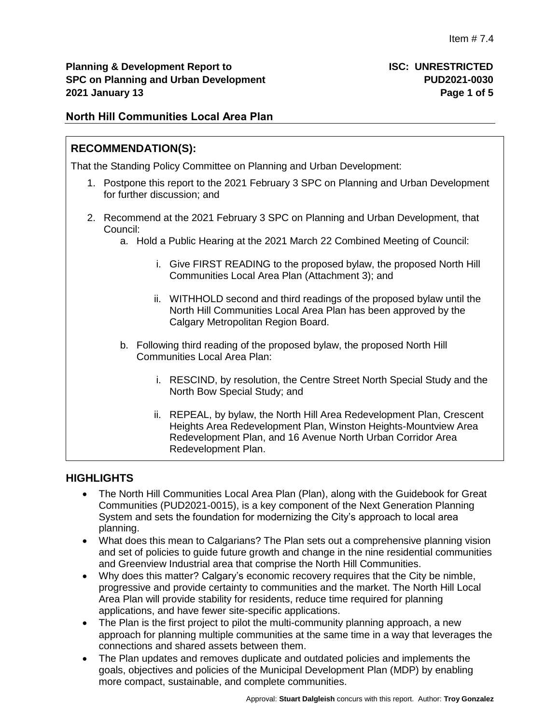# **North Hill Communities Local Area Plan**

# **RECOMMENDATION(S):**

That the Standing Policy Committee on Planning and Urban Development:

- 1. Postpone this report to the 2021 February 3 SPC on Planning and Urban Development for further discussion; and
- 2. Recommend at the 2021 February 3 SPC on Planning and Urban Development, that Council:
	- a. Hold a Public Hearing at the 2021 March 22 Combined Meeting of Council:
		- i. Give FIRST READING to the proposed bylaw, the proposed North Hill Communities Local Area Plan (Attachment 3); and
		- ii. WITHHOLD second and third readings of the proposed bylaw until the North Hill Communities Local Area Plan has been approved by the Calgary Metropolitan Region Board.
	- b. Following third reading of the proposed bylaw, the proposed North Hill Communities Local Area Plan:
		- i. RESCIND, by resolution, the Centre Street North Special Study and the North Bow Special Study; and
		- ii. REPEAL, by bylaw, the North Hill Area Redevelopment Plan, Crescent Heights Area Redevelopment Plan, Winston Heights-Mountview Area Redevelopment Plan, and 16 Avenue North Urban Corridor Area Redevelopment Plan.

# **HIGHLIGHTS**

- The North Hill Communities Local Area Plan (Plan), along with the Guidebook for Great Communities (PUD2021-0015), is a key component of the Next Generation Planning System and sets the foundation for modernizing the City's approach to local area planning.
- What does this mean to Calgarians? The Plan sets out a comprehensive planning vision and set of policies to guide future growth and change in the nine residential communities and Greenview Industrial area that comprise the North Hill Communities.
- Why does this matter? Calgary's economic recovery requires that the City be nimble, progressive and provide certainty to communities and the market. The North Hill Local Area Plan will provide stability for residents, reduce time required for planning applications, and have fewer site-specific applications.
- The Plan is the first project to pilot the multi-community planning approach, a new approach for planning multiple communities at the same time in a way that leverages the connections and shared assets between them.
- The Plan updates and removes duplicate and outdated policies and implements the goals, objectives and policies of the Municipal Development Plan (MDP) by enabling more compact, sustainable, and complete communities.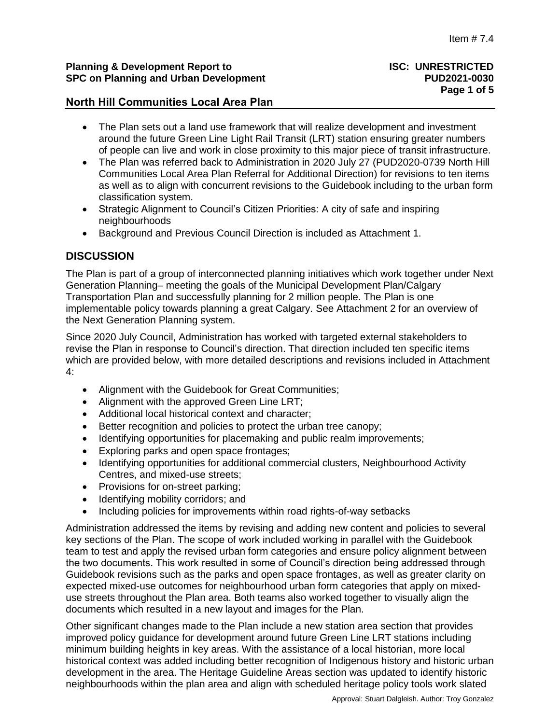#### **Planning & Development Report to ISC: UNRESTRICTED SPC on Planning and Urban Development PUD2021-0030**

### **North Hill Communities Local Area Plan**

- The Plan sets out a land use framework that will realize development and investment around the future Green Line Light Rail Transit (LRT) station ensuring greater numbers of people can live and work in close proximity to this major piece of transit infrastructure.
- The Plan was referred back to Administration in 2020 July 27 (PUD2020-0739 North Hill Communities Local Area Plan Referral for Additional Direction) for revisions to ten items as well as to align with concurrent revisions to the Guidebook including to the urban form classification system.
- Strategic Alignment to Council's Citizen Priorities: A city of safe and inspiring neighbourhoods
- Background and Previous Council Direction is included as Attachment 1.

## **DISCUSSION**

The Plan is part of a group of interconnected planning initiatives which work together under Next Generation Planning– meeting the goals of the Municipal Development Plan/Calgary Transportation Plan and successfully planning for 2 million people. The Plan is one implementable policy towards planning a great Calgary. See Attachment 2 for an overview of the Next Generation Planning system.

Since 2020 July Council, Administration has worked with targeted external stakeholders to revise the Plan in response to Council's direction. That direction included ten specific items which are provided below, with more detailed descriptions and revisions included in Attachment 4:

- Alignment with the Guidebook for Great Communities;
- Alignment with the approved Green Line LRT;
- Additional local historical context and character:
- Better recognition and policies to protect the urban tree canopy;
- Identifying opportunities for placemaking and public realm improvements;
- Exploring parks and open space frontages;
- Identifying opportunities for additional commercial clusters, Neighbourhood Activity Centres, and mixed-use streets;
- Provisions for on-street parking;
- Identifying mobility corridors; and
- Including policies for improvements within road rights-of-way setbacks

Administration addressed the items by revising and adding new content and policies to several key sections of the Plan. The scope of work included working in parallel with the Guidebook team to test and apply the revised urban form categories and ensure policy alignment between the two documents. This work resulted in some of Council's direction being addressed through Guidebook revisions such as the parks and open space frontages, as well as greater clarity on expected mixed-use outcomes for neighbourhood urban form categories that apply on mixeduse streets throughout the Plan area. Both teams also worked together to visually align the documents which resulted in a new layout and images for the Plan.

Other significant changes made to the Plan include a new station area section that provides improved policy guidance for development around future Green Line LRT stations including minimum building heights in key areas. With the assistance of a local historian, more local historical context was added including better recognition of Indigenous history and historic urban development in the area. The Heritage Guideline Areas section was updated to identify historic neighbourhoods within the plan area and align with scheduled heritage policy tools work slated

# **Page 1 of 5**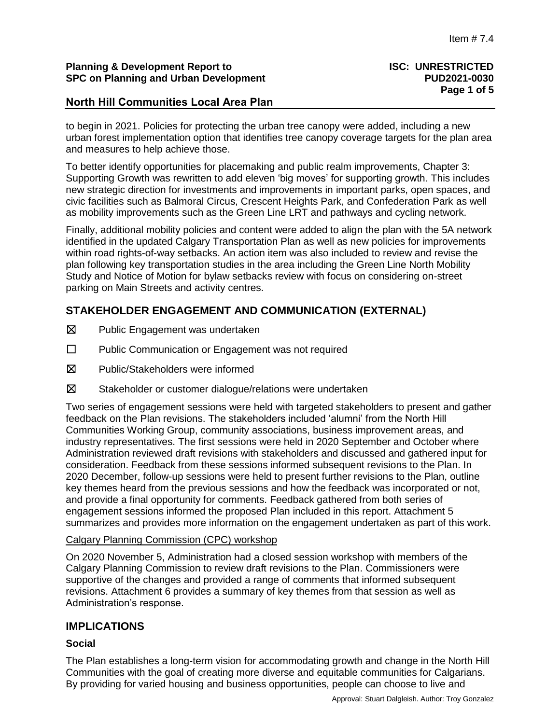## **North Hill Communities Local Area Plan**

to begin in 2021. Policies for protecting the urban tree canopy were added, including a new urban forest implementation option that identifies tree canopy coverage targets for the plan area and measures to help achieve those.

To better identify opportunities for placemaking and public realm improvements, Chapter 3: Supporting Growth was rewritten to add eleven 'big moves' for supporting growth. This includes new strategic direction for investments and improvements in important parks, open spaces, and civic facilities such as Balmoral Circus, Crescent Heights Park, and Confederation Park as well as mobility improvements such as the Green Line LRT and pathways and cycling network.

Finally, additional mobility policies and content were added to align the plan with the 5A network identified in the updated Calgary Transportation Plan as well as new policies for improvements within road rights-of-way setbacks. An action item was also included to review and revise the plan following key transportation studies in the area including the Green Line North Mobility Study and Notice of Motion for bylaw setbacks review with focus on considering on-street parking on Main Streets and activity centres.

# **STAKEHOLDER ENGAGEMENT AND COMMUNICATION (EXTERNAL)**

- ☒ Public Engagement was undertaken
- ☐ Public Communication or Engagement was not required
- ☒ Public/Stakeholders were informed
- ☒ Stakeholder or customer dialogue/relations were undertaken

Two series of engagement sessions were held with targeted stakeholders to present and gather feedback on the Plan revisions. The stakeholders included 'alumni' from the North Hill Communities Working Group, community associations, business improvement areas, and industry representatives. The first sessions were held in 2020 September and October where Administration reviewed draft revisions with stakeholders and discussed and gathered input for consideration. Feedback from these sessions informed subsequent revisions to the Plan. In 2020 December, follow-up sessions were held to present further revisions to the Plan, outline key themes heard from the previous sessions and how the feedback was incorporated or not, and provide a final opportunity for comments. Feedback gathered from both series of engagement sessions informed the proposed Plan included in this report. Attachment 5 summarizes and provides more information on the engagement undertaken as part of this work.

## Calgary Planning Commission (CPC) workshop

On 2020 November 5, Administration had a closed session workshop with members of the Calgary Planning Commission to review draft revisions to the Plan. Commissioners were supportive of the changes and provided a range of comments that informed subsequent revisions. Attachment 6 provides a summary of key themes from that session as well as Administration's response.

# **IMPLICATIONS**

## **Social**

The Plan establishes a long-term vision for accommodating growth and change in the North Hill Communities with the goal of creating more diverse and equitable communities for Calgarians. By providing for varied housing and business opportunities, people can choose to live and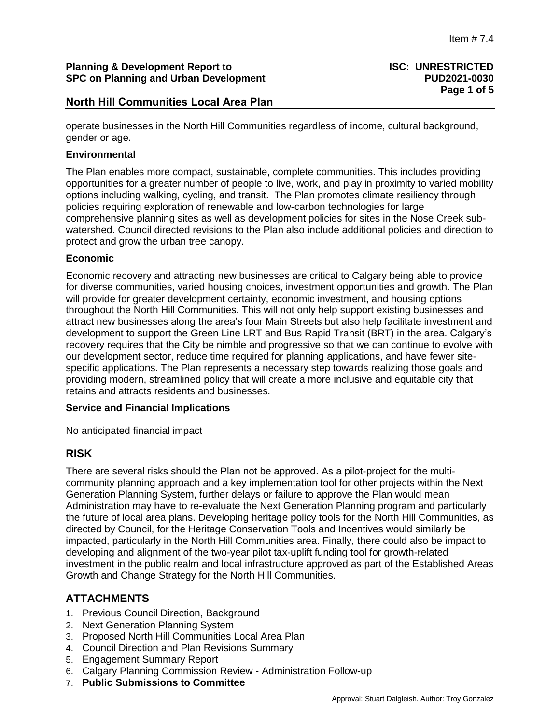### **Planning & Development Report to <b>ISC: UNRESTRICTED SPC on Planning and Urban Development PUD2021-0030**

# **North Hill Communities Local Area Plan**

operate businesses in the North Hill Communities regardless of income, cultural background, gender or age.

#### **Environmental**

The Plan enables more compact, sustainable, complete communities. This includes providing opportunities for a greater number of people to live, work, and play in proximity to varied mobility options including walking, cycling, and transit. The Plan promotes climate resiliency through policies requiring exploration of renewable and low-carbon technologies for large comprehensive planning sites as well as development policies for sites in the Nose Creek subwatershed. Council directed revisions to the Plan also include additional policies and direction to protect and grow the urban tree canopy.

#### **Economic**

Economic recovery and attracting new businesses are critical to Calgary being able to provide for diverse communities, varied housing choices, investment opportunities and growth. The Plan will provide for greater development certainty, economic investment, and housing options throughout the North Hill Communities. This will not only help support existing businesses and attract new businesses along the area's four Main Streets but also help facilitate investment and development to support the Green Line LRT and Bus Rapid Transit (BRT) in the area. Calgary's recovery requires that the City be nimble and progressive so that we can continue to evolve with our development sector, reduce time required for planning applications, and have fewer sitespecific applications. The Plan represents a necessary step towards realizing those goals and providing modern, streamlined policy that will create a more inclusive and equitable city that retains and attracts residents and businesses.

## **Service and Financial Implications**

No anticipated financial impact

# **RISK**

There are several risks should the Plan not be approved. As a pilot-project for the multicommunity planning approach and a key implementation tool for other projects within the Next Generation Planning System, further delays or failure to approve the Plan would mean Administration may have to re-evaluate the Next Generation Planning program and particularly the future of local area plans. Developing heritage policy tools for the North Hill Communities, as directed by Council, for the Heritage Conservation Tools and Incentives would similarly be impacted, particularly in the North Hill Communities area. Finally, there could also be impact to developing and alignment of the two-year pilot tax-uplift funding tool for growth-related investment in the public realm and local infrastructure approved as part of the Established Areas Growth and Change Strategy for the North Hill Communities.

# **ATTACHMENTS**

- 1. Previous Council Direction, Background
- 2. Next Generation Planning System
- 3. Proposed North Hill Communities Local Area Plan
- 4. Council Direction and Plan Revisions Summary
- 5. Engagement Summary Report
- 6. Calgary Planning Commission Review Administration Follow-up
- 7. **Public Submissions to Committee**